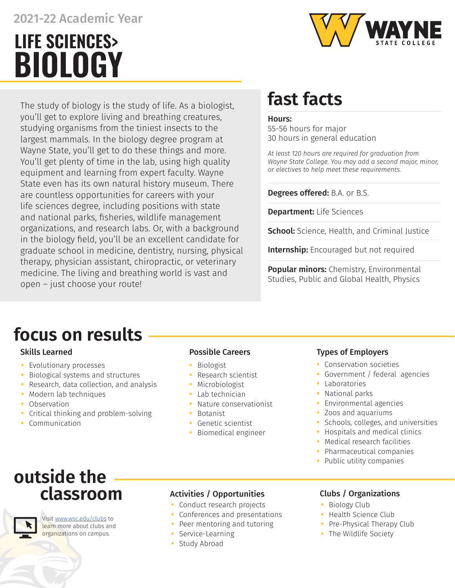## 2021-22 Academic Year

# **BIOLOGY LIFE SCIENCES>**



The study of biology is the study of life. As a biologist, you'll get to explore living and breathing creatures, studying organisms from the tiniest insects to the largest mammals. In the biology degree program at Wayne State, you'll get to do these things and more. You'll get plenty of time in the lab, using high quality equipment and learning from expert faculty. Wayne State even has its own natural history museum. There are countless opportunities for careers with your life sciences degree, including positions with state and national parks, fisheries, wildlife management organizations, and research labs. Or, with a background in the biology field, you'll be an excellent candidate for graduate school in medicine, dentistry, nursing, physical therapy, physician assistant, chiropractic, or veterinary medicine. The living and breathing world is vast and open – just choose your route!

# **fast facts**

### Hours:

55-56 hours for major 30 hours in general education

*At least 120 hours are required for graduation from Wayne State College. You may add a second major, minor, or electives to help meet these requirements.* 

### Degrees offered: B.A. or B.S.

Department: Life Sciences

School: Science, Health, and Criminal Justice

**Internship:** Encouraged but not required

Popular minors: Chemistry, Environmental Studies, Public and Global Health, Physics

## **focus on results**

- **•** Evolutionary processes
- **•** Biological systems and structures
- **•** Research, data collection, and analysis
- **•** Modern lab techniques
- **•** Observation
- **•** Critical thinking and problem-solving
- **•** Communication

- **•** Biologist
- **•** Research scientist
- **•** Microbiologist
- **•** Lab technician
- **•** Nature conservationist
- **•** Botanist
- **•** Genetic scientist
- **•** Biomedical engineer

## Skills Learned **Possible Careers Possible Careers Possible Careers Possible Careers**

- **•** Conservation societies
- **•** Government / federal agencies
- **•** Laboratories
- **•** National parks
- **•** Environmental agencies
- **•** Zoos and aquariums
- **•** Schools, colleges, and universities
- **•** Hospitals and medical clinics
- **•** Medical research facilities
- **•** Pharmaceutical companies
- **•** Public utility companies

## **outside the classroom**



Visit [www.wsc.edu/clubs](https://www.wsc.edu/clubs) to learn more about clubs and organizations on campus.

## Activities / Opportunities Clubs / Organizations

- **•** Conduct research projects
- **•** Conferences and presentations
- **•** Peer mentoring and tutoring
- **•** Service-Learning
- **•** Study Abroad

- **•** Biology Club
- **•** Health Science Club
- **•** Pre-Physical Therapy Club
- **•** The Wildlife Society